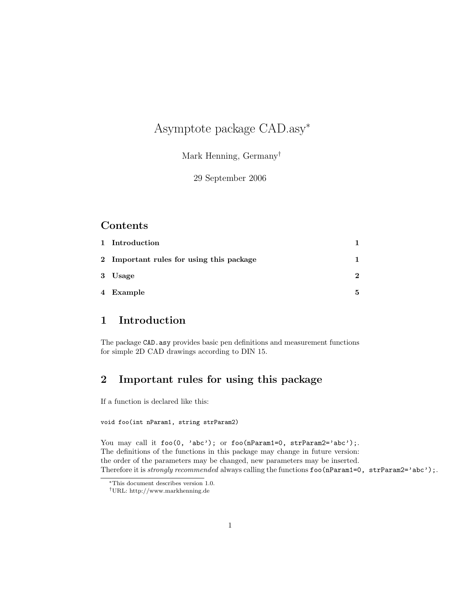# Asymptote package CAD.asy<sup>∗</sup>

Mark Henning, Germany†

29 September 2006

#### Contents

| 1 Introduction                           |               |
|------------------------------------------|---------------|
| 2 Important rules for using this package |               |
| 3 Usage                                  | $\mathcal{D}$ |
| 4 Example                                | 5             |

# 1 Introduction

The package CAD.asy provides basic pen definitions and measurement functions for simple 2D CAD drawings according to DIN 15.

## 2 Important rules for using this package

If a function is declared like this:

#### void foo(int nParam1, string strParam2)

You may call it foo(0, 'abc'); or foo(nParam1=0, strParam2='abc');. The definitions of the functions in this package may change in future version: the order of the parameters may be changed, new parameters may be inserted. Therefore it is *strongly recommended* always calling the functions  $foo(nParam1=0, strParam2='abc');$ .

<sup>∗</sup>This document describes version 1.0.

<sup>†</sup>URL: http://www.markhenning.de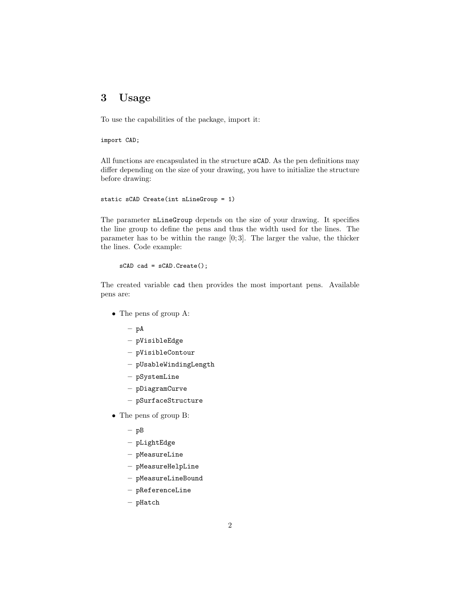## 3 Usage

To use the capabilities of the package, import it:

import CAD;

All functions are encapsulated in the structure sCAD. As the pen definitions may differ depending on the size of your drawing, you have to initialize the structure before drawing:

```
static sCAD Create(int nLineGroup = 1)
```
The parameter nLineGroup depends on the size of your drawing. It specifies the line group to define the pens and thus the width used for the lines. The parameter has to be within the range [0; 3]. The larger the value, the thicker the lines. Code example:

sCAD cad = sCAD.Create();

The created variable cad then provides the most important pens. Available pens are:

- The pens of group A:
	- $-$  pA
	- pVisibleEdge
	- pVisibleContour
	- pUsableWindingLength
	- pSystemLine
	- pDiagramCurve
	- pSurfaceStructure
- The pens of group B:
	- $-$  pB
	- pLightEdge
	- pMeasureLine
	- $-$  pMeasureHelpLine
	- pMeasureLineBound
	- pReferenceLine
	- pHatch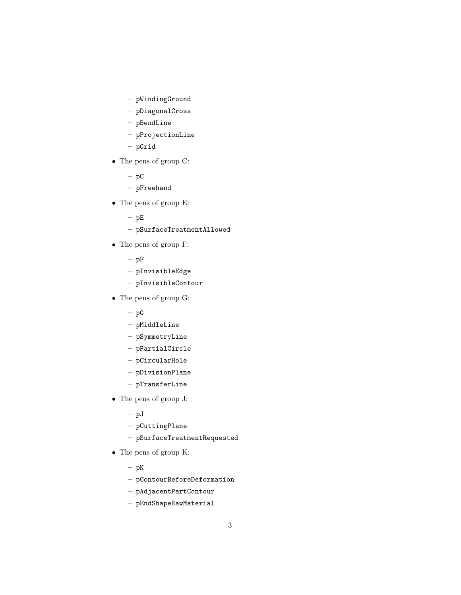- pWindingGround
- pDiagonalCross
- pBendLine
- pProjectionLine
- pGrid
- The pens of group C:
	- $-$  pC
	- pFreehand
- The pens of group E:
	- $pE$
	- pSurfaceTreatmentAllowed
- The pens of group F:
	- $-$  pF
	- pInvisibleEdge
	- pInvisibleContour
- The pens of group G:
	- $\, {\rm pG}$
	- pMiddleLine
	- pSymmetryLine
	- pPartialCircle
	- pCircularHole
	- pDivisionPlane
	- pTransferLine
- The pens of group J:
	- pJ
	- $-$  pCuttingPlane
	- pSurfaceTreatmentRequested
- The pens of group K:
	- $-$  pK
	- pContourBeforeDeformation
	- pAdjacentPartContour
	- pEndShapeRawMaterial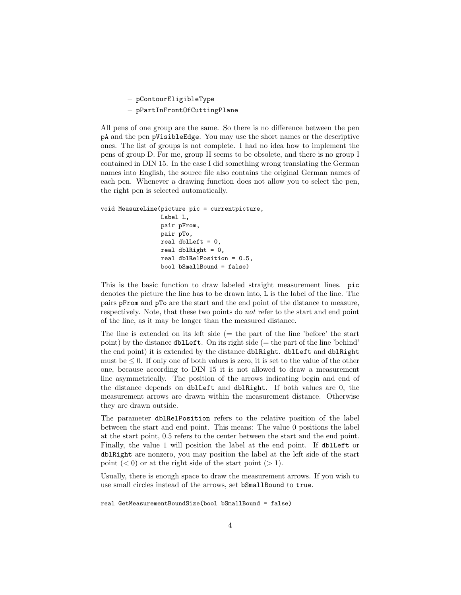– pContourEligibleType

– pPartInFrontOfCuttingPlane

All pens of one group are the same. So there is no difference between the pen pA and the pen pVisibleEdge. You may use the short names or the descriptive ones. The list of groups is not complete. I had no idea how to implement the pens of group D. For me, group H seems to be obsolete, and there is no group I contained in DIN 15. In the case I did something wrong translating the German names into English, the source file also contains the original German names of each pen. Whenever a drawing function does not allow you to select the pen, the right pen is selected automatically.

```
void MeasureLine(picture pic = currentpicture,
                 Label L,
                 pair pFrom,
                 pair pTo,
                 real dblLeft = 0,
                 real dblRight = 0,
                 real dblRelPosition = 0.5,
                 bool bSmallBound = false)
```
This is the basic function to draw labeled straight measurement lines. pic denotes the picture the line has to be drawn into, L is the label of the line. The pairs pFrom and pTo are the start and the end point of the distance to measure, respectively. Note, that these two points do not refer to the start and end point of the line, as it may be longer than the measured distance.

The line is extended on its left side  $(=$  the part of the line 'before' the start point) by the distance  $dblLeft$ . On its right side (= the part of the line 'behind' the end point) it is extended by the distance dblRight. dblLeft and dblRight must be  $\leq 0$ . If only one of both values is zero, it is set to the value of the other one, because according to DIN 15 it is not allowed to draw a measurement line asymmetrically. The position of the arrows indicating begin and end of the distance depends on dblLeft and dblRight. If both values are 0, the measurement arrows are drawn within the measurement distance. Otherwise they are drawn outside.

The parameter dblRelPosition refers to the relative position of the label between the start and end point. This means: The value 0 positions the label at the start point, 0.5 refers to the center between the start and the end point. Finally, the value 1 will position the label at the end point. If dblLeft or dblRight are nonzero, you may position the label at the left side of the start point  $(< 0)$  or at the right side of the start point  $(> 1)$ .

Usually, there is enough space to draw the measurement arrows. If you wish to use small circles instead of the arrows, set bSmallBound to true.

real GetMeasurementBoundSize(bool bSmallBound = false)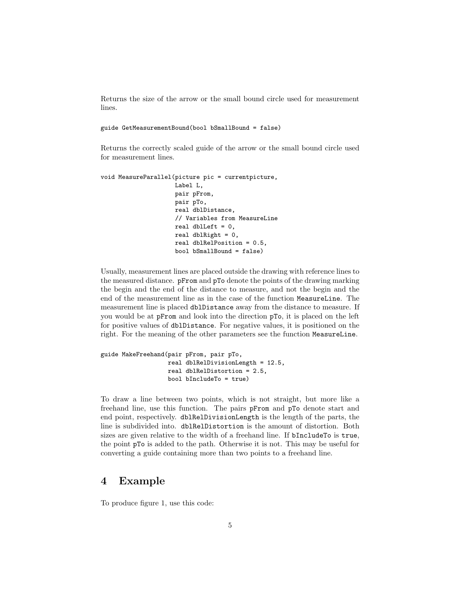Returns the size of the arrow or the small bound circle used for measurement lines.

guide GetMeasurementBound(bool bSmallBound = false)

Returns the correctly scaled guide of the arrow or the small bound circle used for measurement lines.

```
void MeasureParallel(picture pic = currentpicture,
                     Label L,
                     pair pFrom,
                     pair pTo,
                     real dblDistance,
                     // Variables from MeasureLine
                     real dblLeft = 0,
                     real dblRight = 0,
                     real dblRelPosition = 0.5,
                     bool bSmallBound = false)
```
Usually, measurement lines are placed outside the drawing with reference lines to the measured distance. pFrom and pTo denote the points of the drawing marking the begin and the end of the distance to measure, and not the begin and the end of the measurement line as in the case of the function MeasureLine. The measurement line is placed dblDistance away from the distance to measure. If you would be at pFrom and look into the direction pTo, it is placed on the left for positive values of dblDistance. For negative values, it is positioned on the right. For the meaning of the other parameters see the function MeasureLine.

```
guide MakeFreehand(pair pFrom, pair pTo,
                   real dblRelDivisionLength = 12.5,
                   real dblRelDistortion = 2.5,
                   bool bIncludeTo = true)
```
To draw a line between two points, which is not straight, but more like a freehand line, use this function. The pairs pFrom and pTo denote start and end point, respectively. dblRelDivisionLength is the length of the parts, the line is subdivided into. dblRelDistortion is the amount of distortion. Both sizes are given relative to the width of a freehand line. If bIncludeTo is true, the point pTo is added to the path. Otherwise it is not. This may be useful for converting a guide containing more than two points to a freehand line.

### 4 Example

To produce figure 1, use this code: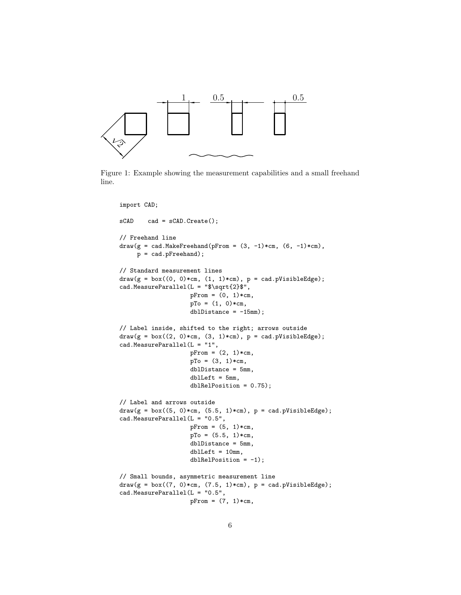

Figure 1: Example showing the measurement capabilities and a small freehand line.

```
import CAD;
sCAD cad = sCAD.Create();
// Freehand line
draw(g = cad.MakeFreehand(pFrom = (3, -1)*cm, (6, -1)*cm),p = cad.pFreehand);
// Standard measurement lines
draw(g = box((0, 0)*cm, (1, 1)*cm), p = cad.pVisibleEdge);cad.MeasureParallel(L = "$\sqrt{2}$",
                   pFrom = (0, 1)*cm,pTo = (1, 0)*cm,db1Distance = -15mm;
// Label inside, shifted to the right; arrows outside
draw(g = box((2, 0)*cm, (3, 1)*cm), p = cad.pVisibleEdge);cad.MeasureParallel(L = "1",
                    pFrom = (2, 1)*cm,pTo = (3, 1)*cm,dblDistance = 5mm,
                    dblLeft = 5mm,
                    dblRelPosition = 0.75);
// Label and arrows outside
draw(g = box((5, 0)*cm, (5.5, 1)*cm), p = cad.pVisibleEdge);cad.MeasureParallel(L = "0.5",
                    pFrom = (5, 1)*cm,pTo = (5.5, 1)*cm,dblDistance = 5mm,
                    dblLeft = 10mm,dblRelPosition = -1);// Small bounds, asymmetric measurement line
draw(g = box((7, 0)*cm, (7.5, 1)*cm), p = cad.pVisibleEdge);cad.MeasureParallel(L = "0.5",
                   pFrom = (7, 1)*cm,
```